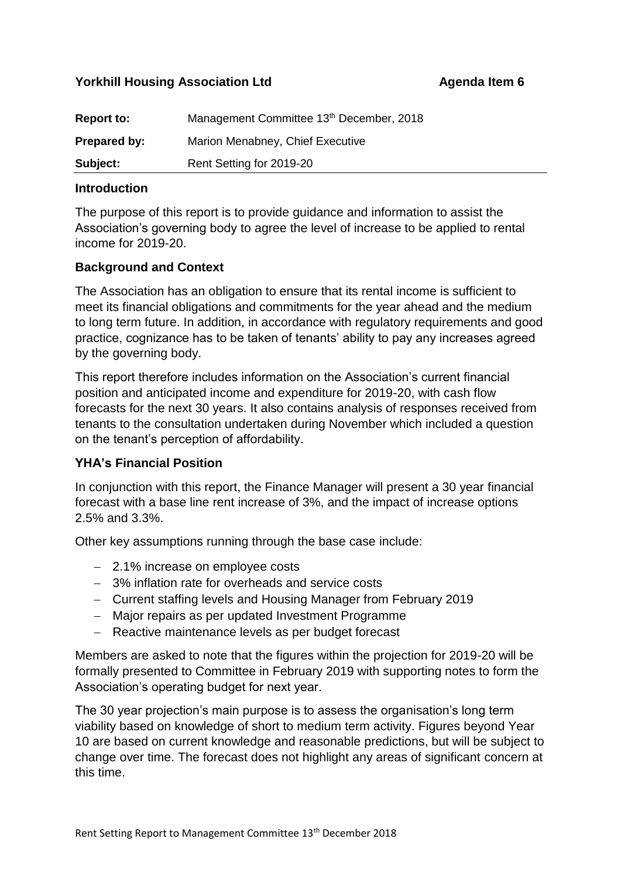## **Yorkhill Housing Association Ltd Agenda Item 6**

| <b>Report to:</b> | Management Committee 13th December, 2018 |
|-------------------|------------------------------------------|
| Prepared by:      | Marion Menabney, Chief Executive         |
| Subject:          | Rent Setting for 2019-20                 |

### **Introduction**

The purpose of this report is to provide guidance and information to assist the Association's governing body to agree the level of increase to be applied to rental income for 2019-20.

### **Background and Context**

The Association has an obligation to ensure that its rental income is sufficient to meet its financial obligations and commitments for the year ahead and the medium to long term future. In addition, in accordance with regulatory requirements and good practice, cognizance has to be taken of tenants' ability to pay any increases agreed by the governing body.

This report therefore includes information on the Association's current financial position and anticipated income and expenditure for 2019-20, with cash flow forecasts for the next 30 years. It also contains analysis of responses received from tenants to the consultation undertaken during November which included a question on the tenant's perception of affordability.

### **YHA's Financial Position**

In conjunction with this report, the Finance Manager will present a 30 year financial forecast with a base line rent increase of 3%, and the impact of increase options 2.5% and 3.3%.

Other key assumptions running through the base case include:

- 2.1% increase on employee costs
- 3% inflation rate for overheads and service costs
- Current staffing levels and Housing Manager from February 2019
- Major repairs as per updated Investment Programme
- Reactive maintenance levels as per budget forecast

Members are asked to note that the figures within the projection for 2019-20 will be formally presented to Committee in February 2019 with supporting notes to form the Association's operating budget for next year.

The 30 year projection's main purpose is to assess the organisation's long term viability based on knowledge of short to medium term activity. Figures beyond Year 10 are based on current knowledge and reasonable predictions, but will be subject to change over time. The forecast does not highlight any areas of significant concern at this time.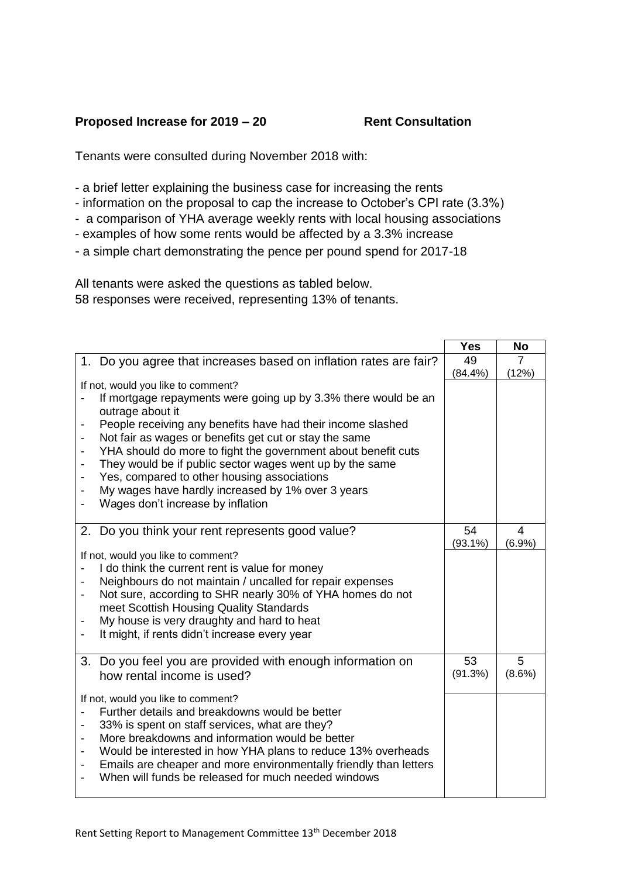# **Proposed Increase for 2019 – 20** Rent Consultation

Tenants were consulted during November 2018 with:

- a brief letter explaining the business case for increasing the rents
- information on the proposal to cap the increase to October's CPI rate (3.3%)
- a comparison of YHA average weekly rents with local housing associations
- examples of how some rents would be affected by a 3.3% increase
- a simple chart demonstrating the pence per pound spend for 2017-18

All tenants were asked the questions as tabled below. 58 responses were received, representing 13% of tenants.

|                                                                   | <b>Yes</b> | <b>No</b>      |
|-------------------------------------------------------------------|------------|----------------|
| 1. Do you agree that increases based on inflation rates are fair? | 49         | $\overline{7}$ |
|                                                                   | (84.4%)    | (12%)          |
| If not, would you like to comment?                                |            |                |
| If mortgage repayments were going up by 3.3% there would be an    |            |                |
| outrage about it                                                  |            |                |
| People receiving any benefits have had their income slashed       |            |                |
| Not fair as wages or benefits get cut or stay the same            |            |                |
| YHA should do more to fight the government about benefit cuts     |            |                |
| They would be if public sector wages went up by the same          |            |                |
| Yes, compared to other housing associations                       |            |                |
| My wages have hardly increased by 1% over 3 years                 |            |                |
| Wages don't increase by inflation                                 |            |                |
|                                                                   |            |                |
| 2. Do you think your rent represents good value?                  | 54         | $\overline{4}$ |
|                                                                   | $(93.1\%)$ | (6.9%)         |
| If not, would you like to comment?                                |            |                |
| I do think the current rent is value for money                    |            |                |
| Neighbours do not maintain / uncalled for repair expenses         |            |                |
| Not sure, according to SHR nearly 30% of YHA homes do not<br>-    |            |                |
| meet Scottish Housing Quality Standards                           |            |                |
| My house is very draughty and hard to heat                        |            |                |
| It might, if rents didn't increase every year                     |            |                |
|                                                                   |            |                |
| Do you feel you are provided with enough information on<br>3.     | 53         | 5              |
| how rental income is used?                                        | (91.3%)    | $(8.6\%)$      |
|                                                                   |            |                |
| If not, would you like to comment?                                |            |                |
| Further details and breakdowns would be better                    |            |                |
| 33% is spent on staff services, what are they?                    |            |                |
| More breakdowns and information would be better                   |            |                |
| Would be interested in how YHA plans to reduce 13% overheads      |            |                |
| Emails are cheaper and more environmentally friendly than letters |            |                |
| When will funds be released for much needed windows               |            |                |
|                                                                   |            |                |